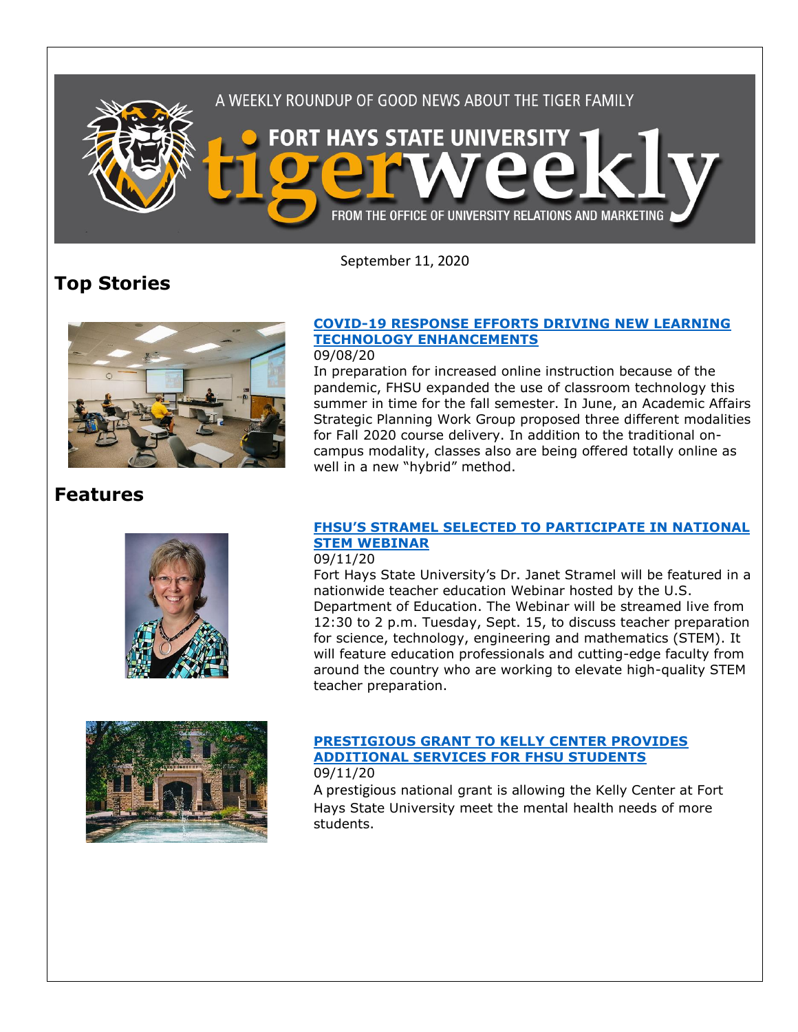

September 11, 2020

# **Top Stories**



### **[COVID-19 RESPONSE EFFORTS DRIVING NEW LEARNING](https://www.fhsu.edu/news/2020/09/covid-19-response-efforts-driving-new-learning-technology-enhancements)  [TECHNOLOGY ENHANCEMENTS](https://www.fhsu.edu/news/2020/09/covid-19-response-efforts-driving-new-learning-technology-enhancements)**

#### 09/08/20

In preparation for increased online instruction because of the pandemic, FHSU expanded the use of classroom technology this summer in time for the fall semester. In June, an Academic Affairs Strategic Planning Work Group proposed three different modalities for Fall 2020 course delivery. In addition to the traditional oncampus modality, classes also are being offered totally online as well in a new "hybrid" method.

## **Features**





### **FHSU'S STRAMEL [SELECTED TO PARTICIPATE IN NATIONAL](https://www.fhsu.edu/news/2020/09/fhsus-stramel-selected-to-participate-in-national-stem-webinar)  [STEM WEBINAR](https://www.fhsu.edu/news/2020/09/fhsus-stramel-selected-to-participate-in-national-stem-webinar)**

#### 09/11/20

Fort Hays State University's Dr. Janet Stramel will be featured in a nationwide teacher education Webinar hosted by the U.S. Department of Education. The Webinar will be streamed live from 12:30 to 2 p.m. Tuesday, Sept. 15, to discuss teacher preparation for science, technology, engineering and mathematics (STEM). It will feature education professionals and cutting-edge faculty from around the country who are working to elevate high-quality STEM teacher preparation.

#### **[PRESTIGIOUS GRANT TO KELLY CENTER PROVIDES](https://www.fhsu.edu/news/2020/09/prestigious-grant-to-kelly-center-provides-additional-services-for-fhsu-students)  [ADDITIONAL SERVICES FOR FHSU STUDENTS](https://www.fhsu.edu/news/2020/09/prestigious-grant-to-kelly-center-provides-additional-services-for-fhsu-students)** 09/11/20

A prestigious national grant is allowing the Kelly Center at Fort Hays State University meet the mental health needs of more students.